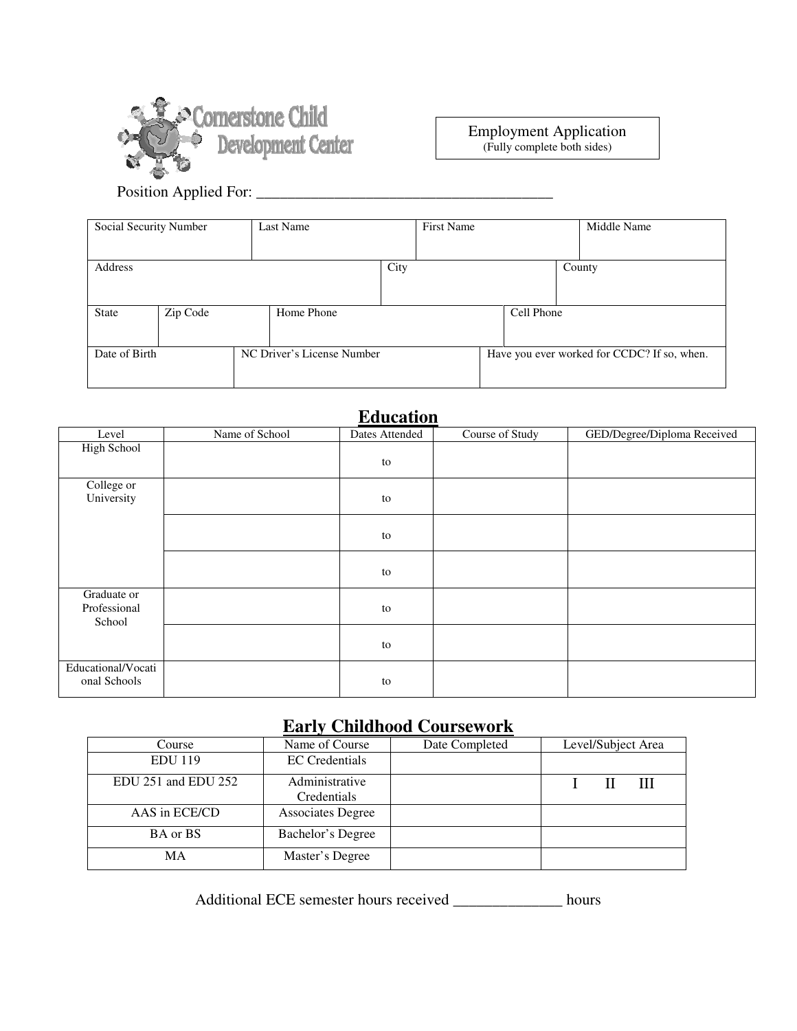

Employment Application (Fully complete both sides)

Position Applied For: \_\_\_\_\_\_\_\_\_\_\_\_\_\_\_\_\_\_\_\_\_\_\_\_\_\_\_\_\_\_\_\_\_\_\_\_\_\_

| Social Security Number                      |          | Last Name  |      | <b>First Name</b> |                                             |            | Middle Name |  |
|---------------------------------------------|----------|------------|------|-------------------|---------------------------------------------|------------|-------------|--|
|                                             |          |            |      |                   |                                             |            |             |  |
| Address                                     |          |            | City |                   |                                             |            | County      |  |
|                                             |          |            |      |                   |                                             |            |             |  |
| <b>State</b>                                | Zip Code | Home Phone |      |                   |                                             | Cell Phone |             |  |
|                                             |          |            |      |                   |                                             |            |             |  |
| NC Driver's License Number<br>Date of Birth |          |            |      |                   | Have you ever worked for CCDC? If so, when. |            |             |  |
|                                             |          |            |      |                   |                                             |            |             |  |

### **Education**

|                                       |                | Lautanon       |                 |                             |
|---------------------------------------|----------------|----------------|-----------------|-----------------------------|
| Level                                 | Name of School | Dates Attended | Course of Study | GED/Degree/Diploma Received |
| High School                           |                | to             |                 |                             |
| College or<br>University              |                | to             |                 |                             |
|                                       |                | to             |                 |                             |
|                                       |                | to             |                 |                             |
| Graduate or<br>Professional<br>School |                | to             |                 |                             |
|                                       |                | to             |                 |                             |
| Educational/Vocati<br>onal Schools    |                | to             |                 |                             |

# **Early Childhood Coursework**

| Course              | Name of Course                | Date Completed | Level/Subject Area |  |   |  |
|---------------------|-------------------------------|----------------|--------------------|--|---|--|
| <b>EDU</b> 119      | <b>EC</b> Credentials         |                |                    |  |   |  |
| EDU 251 and EDU 252 | Administrative<br>Credentials |                |                    |  | Ш |  |
| AAS in ECE/CD       | <b>Associates Degree</b>      |                |                    |  |   |  |
| BA or BS            | Bachelor's Degree             |                |                    |  |   |  |
| MA                  | Master's Degree               |                |                    |  |   |  |

Additional ECE semester hours received \_\_\_\_\_\_\_\_\_\_\_\_\_\_ hours